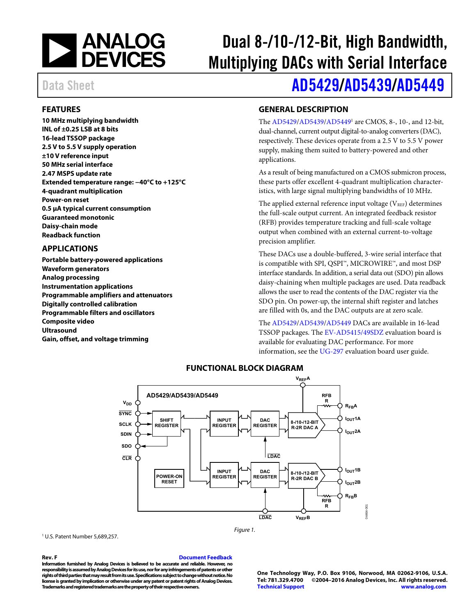

# Dual 8-/10-/12-Bit, High Bandwidth, Multiplying DACs with Serial Interface

# Data Sheet **[AD5429](http://www.analog.com/AD5429?doc=AD5429_5439_5449.pdf)[/AD5439/](http://www.analog.com/AD5439?doc=AD5429_5439_5449.pdf)[AD5449](http://www.analog.com/AD5449?doc=AD5429_5439_5449.pdf)**

### <span id="page-0-0"></span>**FEATURES**

**10 MHz multiplying bandwidth INL of ±0.25 LSB at 8 bits 16-lead TSSOP package 2.5 V to 5.5 V supply operation ±10 V reference input 50 MHz serial interface 2.47 MSPS update rate Extended temperature range: −40°C to +125°C 4-quadrant multiplication Power-on reset 0.5 μA typical current consumption Guaranteed monotonic Daisy-chain mode Readback function** 

### <span id="page-0-1"></span>**APPLICATIONS**

**Portable battery-powered applications Waveform generators Analog processing Instrumentation applications Programmable amplifiers and attenuators Digitally controlled calibration Programmable filters and oscillators Composite video Ultrasound Gain, offset, and voltage trimming** 

### <span id="page-0-2"></span>**GENERAL DESCRIPTION**

The [AD5429/](http://www.analog.com/AD5429?doc=AD5429_5439_5449.pdf)[AD5439/](http://www.analog.com/AD5439?doc=AD5429_5439_5449.pdf)AD5449<sup>1</sup> are CMOS, 8-, 10-, and 12-bit, dual-channel, current output digital-to-analog converters (DAC), respectively. These devices operate from a 2.5 V to 5.5 V power supply, making them suited to battery-powered and other applications.

As a result of being manufactured on a CMOS submicron process, these parts offer excellent 4-quadrant multiplication characteristics, with large signal multiplying bandwidths of 10 MHz.

The applied external reference input voltage  $(V_{REF})$  determines the full-scale output current. An integrated feedback resistor (RFB) provides temperature tracking and full-scale voltage output when combined with an external current-to-voltage precision amplifier.

These DACs use a double-buffered, 3-wire serial interface that is compatible with SPI, QSPI™, MICROWIRE™, and most DSP interface standards. In addition, a serial data out (SDO) pin allows daisy-chaining when multiple packages are used. Data readback allows the user to read the contents of the DAC register via the SDO pin. On power-up, the internal shift register and latches are filled with 0s, and the DAC outputs are at zero scale.

The [AD5429/](http://www.analog.com/AD5429?doc=AD5429_5439_5449.pdf)[AD5439/](http://www.analog.com/AD5439?doc=AD5429_5439_5449.pdf)[AD5449 D](http://www.analog.com/AD5449?doc=AD5429_5439_5449.pdf)ACs are available in 16-lead TSSOP packages. Th[e EV-AD5415/49SDZ e](http://www.analog.com/AD5415?doc=AD5429_5439_5449.pdf)valuation board is available for evaluating DAC performance. For more information, see th[e UG-297](http://www.analog.com/UG-297?doc=AD5429_5439_5449.pdf) evaluation board user guide.

<span id="page-0-3"></span>

Figure 1.

### **FUNCTIONAL BLOCK DIAGRAM**

1 U.S. Patent Number 5,689,257.

#### **Rev. F [Document Feedback](https://form.analog.com/Form_Pages/feedback/documentfeedback.aspx?doc=AD5429_5439_5449.pdf&product=AD5429%20AD5439%20AD5449&rev=F)**

**Information furnished by Analog Devices is believed to be accurate and reliable. However, no responsibility is assumed by Analog Devices for its use, nor for any infringements of patents or other rights of third parties that may result from its use. Specifications subject to change without notice. No license is granted by implication or otherwise under any patent or patent rights of Analog Devices. Trademarks and registered trademarks are the property of their respective owners.** 

**One Technology Way, P.O. Box 9106, Norwood, MA 02062-9106, U.S.A. Tel: 781.329.4700 ©2004–2016 Analog Devices, Inc. All rights reserved. [Technical Support](http://www.analog.com/en/content/technical_support_page/fca.html) [www.analog.com](http://www.analog.com/)**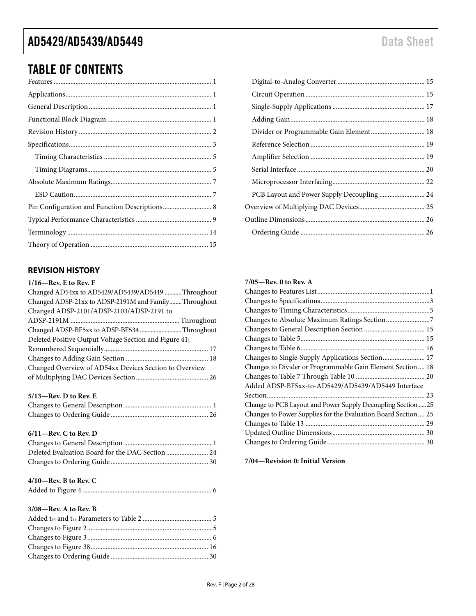### TABLE OF CONTENTS

### <span id="page-1-0"></span>**REVISION HISTORY**

### **1/16—Rev. E to Rev. F**

| Changed AD54xx to AD5429/AD5439/AD5449 Throughout      |  |
|--------------------------------------------------------|--|
| Changed ADSP-21xx to ADSP-2191M and Family Throughout  |  |
| Changed ADSP-2101/ADSP-2103/ADSP-2191 to               |  |
|                                                        |  |
| Changed ADSP-BF5xx to ADSP-BF534 Throughout            |  |
| Deleted Positive Output Voltage Section and Figure 41; |  |
|                                                        |  |
|                                                        |  |
| Changed Overview of AD54xx Devices Section to Overview |  |
|                                                        |  |
|                                                        |  |

### **5/13—Rev. D to Rev. E**

### **6/11—Rev. C to Rev. D**

### **4/10—Rev. B to Rev. C**

|--|--|

### **3/08—Rev. A to Rev. B**

| PCB Layout and Power Supply Decoupling  24 |  |
|--------------------------------------------|--|
|                                            |  |
|                                            |  |
|                                            |  |
|                                            |  |

### **7/05—Rev. 0 to Rev. A**

| Changes to Single-Supply Applications Section 17              |
|---------------------------------------------------------------|
| Changes to Divider or Programmable Gain Element Section 18    |
|                                                               |
| Added ADSP-BF5xx-to-AD5429/AD5439/AD5449 Interface            |
|                                                               |
| Change to PCB Layout and Power Supply Decoupling Section  25  |
| Changes to Power Supplies for the Evaluation Board Section 25 |
|                                                               |
|                                                               |
|                                                               |
|                                                               |

**7/04—Revision 0: Initial Version**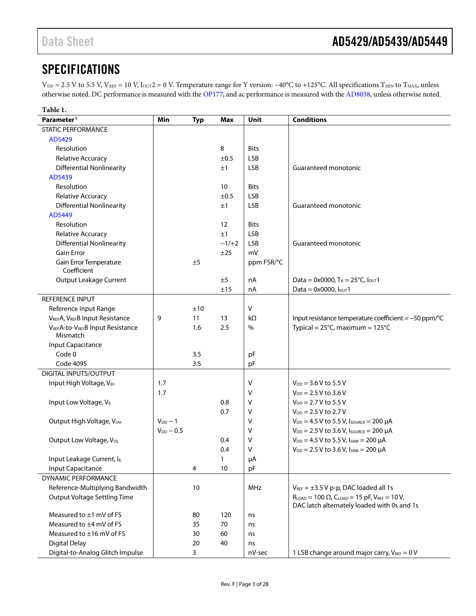### <span id="page-2-0"></span>**SPECIFICATIONS**

V<sub>DD</sub> = 2.5 V to 5.5 V, V<sub>REF</sub> = 10 V, I<sub>OUT</sub>2 = 0 V. Temperature range for Y version: −40°C to +125°C. All specifications T<sub>MIN</sub> to T<sub>MAX</sub>, unless otherwise noted. DC performance is measured with the [OP177,](http://www.analog.com/OP177?doc=AD5429_5439_5449.pdf) and ac performance is measured with the [AD8038,](http://www.analog.com/AD8038?doc=AD5429_5439_5449.pdf) unless otherwise noted.

| Table 1.                              |                |            |         |             |                                                                                                                  |
|---------------------------------------|----------------|------------|---------|-------------|------------------------------------------------------------------------------------------------------------------|
| Parameter <sup>1</sup>                | Min            | <b>Typ</b> | Max     | Unit        | <b>Conditions</b>                                                                                                |
| <b>STATIC PERFORMANCE</b>             |                |            |         |             |                                                                                                                  |
| AD5429                                |                |            |         |             |                                                                                                                  |
| Resolution                            |                |            | 8       | <b>Bits</b> |                                                                                                                  |
| Relative Accuracy                     |                |            | ±0.5    | <b>LSB</b>  |                                                                                                                  |
| <b>Differential Nonlinearity</b>      |                |            | ±1      | <b>LSB</b>  | Guaranteed monotonic                                                                                             |
| AD5439                                |                |            |         |             |                                                                                                                  |
| Resolution                            |                |            | 10      | <b>Bits</b> |                                                                                                                  |
| Relative Accuracy                     |                |            | ±0.5    | <b>LSB</b>  |                                                                                                                  |
| <b>Differential Nonlinearity</b>      |                |            | ±1      | <b>LSB</b>  | Guaranteed monotonic                                                                                             |
| AD5449                                |                |            |         |             |                                                                                                                  |
| Resolution                            |                |            | 12      | <b>Bits</b> |                                                                                                                  |
| Relative Accuracy                     |                |            | ±1      | <b>LSB</b>  |                                                                                                                  |
| <b>Differential Nonlinearity</b>      |                |            | $-1/+2$ | <b>LSB</b>  | Guaranteed monotonic                                                                                             |
| <b>Gain Error</b>                     |                |            | ±25     | mV          |                                                                                                                  |
| Gain Error Temperature<br>Coefficient |                | ±5         |         | ppm FSR/°C  |                                                                                                                  |
| <b>Output Leakage Current</b>         |                |            | ±5      | nA          | Data = 0x0000, $T_A = 25^{\circ}$ C, $I_{\text{OUT}}$ 1                                                          |
|                                       |                |            | ±15     | nA          | Data = $0 \times 0000$ , $I_{\text{OUT}}$ 1                                                                      |
| REFERENCE INPUT                       |                |            |         |             |                                                                                                                  |
| Reference Input Range                 |                | ±10        |         | $\vee$      |                                                                                                                  |
| VREFA, VREFB Input Resistance         | 9              | 11         | 13      | kΩ          | Input resistance temperature coefficient = -50 ppm/°C                                                            |
| VREFA-to-VREFB Input Resistance       |                | 1.6        | 2.5     | %           | Typical = $25^{\circ}$ C, maximum = $125^{\circ}$ C                                                              |
| Mismatch                              |                |            |         |             |                                                                                                                  |
| Input Capacitance                     |                |            |         |             |                                                                                                                  |
| Code 0                                |                | 3.5        |         | pF          |                                                                                                                  |
| <b>Code 4095</b>                      |                | 3.5        |         | pF          |                                                                                                                  |
| <b>DIGITAL INPUTS/OUTPUT</b>          |                |            |         |             |                                                                                                                  |
| Input High Voltage, VIH               | 1.7            |            |         | V           | $V_{DD} = 3.6 V$ to 5.5 V                                                                                        |
|                                       | 1.7            |            |         | v           | $V_{DD} = 2.5 V$ to 3.6 V                                                                                        |
| Input Low Voltage, VIL                |                |            | 0.8     | v           | $V_{DD} = 2.7 V$ to 5.5 V                                                                                        |
|                                       |                |            | 0.7     | ۷           | $V_{DD} = 2.5 V$ to 2.7 V                                                                                        |
| Output High Voltage, VOH              | $V_{DD}$ - 1   |            |         | v           | $V_{DD} = 4.5 V$ to 5.5 V, Isource = 200 µA                                                                      |
|                                       | $V_{DD} - 0.5$ |            |         | ۷           | $V_{DD}$ = 2.5 V to 3.6 V, $I_{SOURCE}$ = 200 µA                                                                 |
| Output Low Voltage, VoL               |                |            | 0.4     | ٧           | $V_{DD} = 4.5 V$ to 5.5 V, $I_{SINK} = 200 \mu A$                                                                |
|                                       |                |            | 0.4     | v           | $V_{DD}$ = 2.5 V to 3.6 V, $I_{SINK}$ = 200 µA                                                                   |
| Input Leakage Current, IL             |                |            | 1       | μA          |                                                                                                                  |
| <b>Input Capacitance</b>              |                | 4          | 10      | pF          |                                                                                                                  |
| <b>DYNAMIC PERFORMANCE</b>            |                |            |         |             |                                                                                                                  |
| Reference-Multiplying Bandwidth       |                | 10         |         | MHz         | $V_{REF} = \pm 3.5 V p-p$ , DAC loaded all 1s                                                                    |
| <b>Output Voltage Settling Time</b>   |                |            |         |             | $R_{LOAD} = 100 \Omega$ , $C_{LOAD} = 15 pF$ , $V_{REF} = 10 V$ ,<br>DAC latch alternately loaded with 0s and 1s |
| Measured to $\pm 1$ mV of FS          |                | 80         | 120     | ns          |                                                                                                                  |
| Measured to ±4 mV of FS               |                | 35         | 70      | ns          |                                                                                                                  |
| Measured to ±16 mV of FS              |                | 30         | 60      | ns          |                                                                                                                  |
| <b>Digital Delay</b>                  |                | 20         | 40      | ns          |                                                                                                                  |
| Digital-to-Analog Glitch Impulse      |                | 3          |         | nV-sec      | 1 LSB change around major carry, $V_{REF} = 0 V$                                                                 |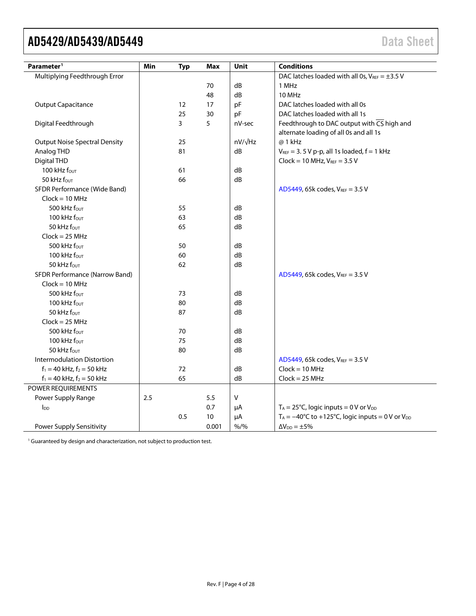| Parameter <sup>1</sup>               | Min | <b>Typ</b> | Max   | Unit           | <b>Conditions</b>                                                                                 |
|--------------------------------------|-----|------------|-------|----------------|---------------------------------------------------------------------------------------------------|
| Multiplying Feedthrough Error        |     |            |       |                | DAC latches loaded with all 0s, $V_{REF} = \pm 3.5 V$                                             |
|                                      |     |            | 70    | dB             | 1 MHz                                                                                             |
|                                      |     |            | 48    | dB             | 10 MHz                                                                                            |
| <b>Output Capacitance</b>            |     | 12         | 17    | pF             | DAC latches loaded with all 0s                                                                    |
|                                      |     | 25         | 30    | pF             | DAC latches loaded with all 1s                                                                    |
| Digital Feedthrough                  |     | 3          | 5     | nV-sec         | Feedthrough to DAC output with $\overline{CS}$ high and<br>alternate loading of all 0s and all 1s |
| <b>Output Noise Spectral Density</b> |     | 25         |       | $nV/\sqrt{Hz}$ | @ 1 kHz                                                                                           |
| Analog THD                           |     | 81         |       | dB             | $V_{REF} = 3.5 V p-p$ , all 1s loaded, $f = 1 kHz$                                                |
| Digital THD                          |     |            |       |                | $Clock = 10 MHz, V_{REF} = 3.5 V$                                                                 |
| 100 kHz four                         |     | 61         |       | dB             |                                                                                                   |
| 50 kHz $f_{\text{OUT}}$              |     | 66         |       | dB             |                                                                                                   |
| SFDR Performance (Wide Band)         |     |            |       |                | AD5449, 65k codes, $V_{REF} = 3.5 V$                                                              |
| $Clock = 10 MHz$                     |     |            |       |                |                                                                                                   |
| 500 kHz four                         |     | 55         |       | dB             |                                                                                                   |
| 100 kHz $f_{\text{OUT}}$             |     | 63         |       | dB             |                                                                                                   |
| 50 kHz fout                          |     | 65         |       | dB             |                                                                                                   |
| $Clock = 25 MHz$                     |     |            |       |                |                                                                                                   |
| 500 kHz four                         |     | 50         |       | dB             |                                                                                                   |
| 100 kHz four                         |     | 60         |       | dB             |                                                                                                   |
| 50 kHz $f_{\text{OUT}}$              |     | 62         |       | dB             |                                                                                                   |
| SFDR Performance (Narrow Band)       |     |            |       |                | AD5449, 65k codes, VREF = 3.5 V                                                                   |
| $Clock = 10 MHz$                     |     |            |       |                |                                                                                                   |
| 500 kHz four                         |     | 73         |       | dB             |                                                                                                   |
| 100 kHz $f_{\text{OUT}}$             |     | 80         |       | dB             |                                                                                                   |
| 50 kHz four                          |     | 87         |       | dB             |                                                                                                   |
| $Clock = 25 MHz$                     |     |            |       |                |                                                                                                   |
| 500 kHz fout                         |     | 70         |       | dB             |                                                                                                   |
| 100 kHz $f_{\text{OUT}}$             |     | 75         |       | dB             |                                                                                                   |
| 50 kHz four                          |     | 80         |       | dB             |                                                                                                   |
| <b>Intermodulation Distortion</b>    |     |            |       |                | AD5449, 65k codes, VREF = 3.5 V                                                                   |
| $f_1 = 40$ kHz, $f_2 = 50$ kHz       |     | 72         |       | dB             | $Clock = 10 MHz$                                                                                  |
| $f_1 = 40$ kHz, $f_2 = 50$ kHz       |     | 65         |       | dB             | $Clock = 25 MHz$                                                                                  |
| POWER REQUIREMENTS                   |     |            |       |                |                                                                                                   |
| Power Supply Range                   | 2.5 |            | 5.5   | V              |                                                                                                   |
| $I_{DD}$                             |     |            | 0.7   | μA             | $T_A = 25^{\circ}C$ , logic inputs = 0 V or V <sub>DD</sub>                                       |
|                                      |     | 0.5        | 10    | μA             | $T_A = -40^{\circ}C$ to +125°C, logic inputs = 0 V or $V_{DD}$                                    |
| Power Supply Sensitivity             |     |            | 0.001 | $% /$ %        | $\Delta V_{DD} = \pm 5\%$                                                                         |

<span id="page-3-0"></span><sup>1</sup> Guaranteed by design and characterization, not subject to production test.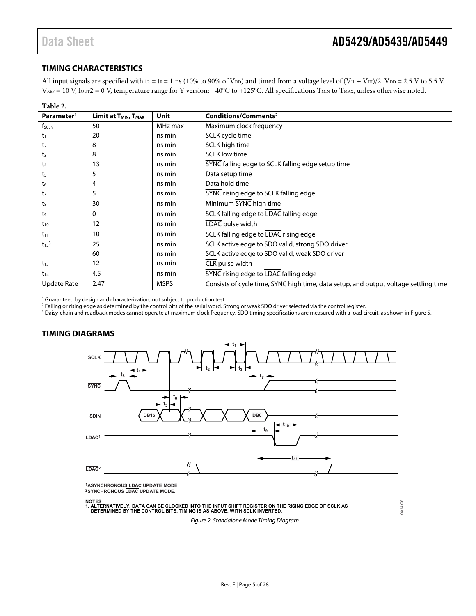04464-002

aanaan:

### <span id="page-4-0"></span>**TIMING CHARACTERISTICS**

All input signals are specified with  $t_R = t_F = 1$  ns (10% to 90% of  $V_{DD}$ ) and timed from a voltage level of  $(V_{IL} + V_{IH})/2$ .  $V_{DD} = 2.5$  V to 5.5 V,  $V_{REF} = 10$  V,  $I_{OUT} = 0$  V, temperature range for Y version:  $-40^{\circ}C$  to +125°C. All specifications  $T_{MIN}$  to  $T_{MAX}$ , unless otherwise noted.

| Table 2.               |                                              |             |                                                                                      |
|------------------------|----------------------------------------------|-------------|--------------------------------------------------------------------------------------|
| Parameter <sup>1</sup> | Limit at T <sub>MIN</sub> , T <sub>MAX</sub> | Unit        | Conditions/Comments <sup>2</sup>                                                     |
| f <sub>SCLK</sub>      | 50                                           | MHz max     | Maximum clock frequency                                                              |
| t1                     | 20                                           | ns min      | SCLK cycle time                                                                      |
| t <sub>2</sub>         | 8                                            | ns min      | SCLK high time                                                                       |
| t3                     | 8                                            | ns min      | <b>SCLK</b> low time                                                                 |
| t4                     | 13                                           | ns min      | SYNC falling edge to SCLK falling edge setup time                                    |
| t <sub>5</sub>         | 5                                            | ns min      | Data setup time                                                                      |
| t6                     | 4                                            | ns min      | Data hold time                                                                       |
| t7                     | 5                                            | ns min      | SYNC rising edge to SCLK falling edge                                                |
| $t_8$                  | 30                                           | ns min      | Minimum SYNC high time                                                               |
| t9                     | 0                                            | ns min      | SCLK falling edge to LDAC falling edge                                               |
| $t_{10}$               | 12                                           | ns min      | LDAC pulse width                                                                     |
| $t_{11}$               | 10                                           | ns min      | SCLK falling edge to LDAC rising edge                                                |
| $t_{12}^3$             | 25                                           | ns min      | SCLK active edge to SDO valid, strong SDO driver                                     |
|                        | 60                                           | ns min      | SCLK active edge to SDO valid, weak SDO driver                                       |
| $t_{13}$               | 12                                           | ns min      | CLR pulse width                                                                      |
| $t_{14}$               | 4.5                                          | ns min      | SYNC rising edge to LDAC falling edge                                                |
| <b>Update Rate</b>     | 2.47                                         | <b>MSPS</b> | Consists of cycle time, SYNC high time, data setup, and output voltage settling time |

<sup>1</sup> Guaranteed by design and characterization, not subject to production test.

<sup>2</sup> Falling or rising edge as determined by the control bits of the serial word. Strong or weak SDO driver selected via the control register.<br><sup>3</sup> Daisy-chain and readback modes cannot operate at maximum clock frequency. SD

<sup>3</sup> Daisy-chain and readback modes cannot operate at maximum clock frequency. SDO timing specifications are measured with a load circuit, as shown in Figure 5.

### <span id="page-4-1"></span>**TIMING DIAGRAMS**



**1ASYNCHRONOUS LDAC UPDATE MODE. 2SYNCHRONOUS LDAC UPDATE MODE.**

**NOTES 1. ALTERNATIVELY, DATA CAN BE CLOCKED INTO THE INPUT SHIFT REGISTER ON THE RISING EDGE OF SCLK AS DETERMINED BY THE CONTROL BITS. TIMING IS AS ABOVE, WITH SCLK INVERTED.**

Figure 2. Standalone Mode Timing Diagram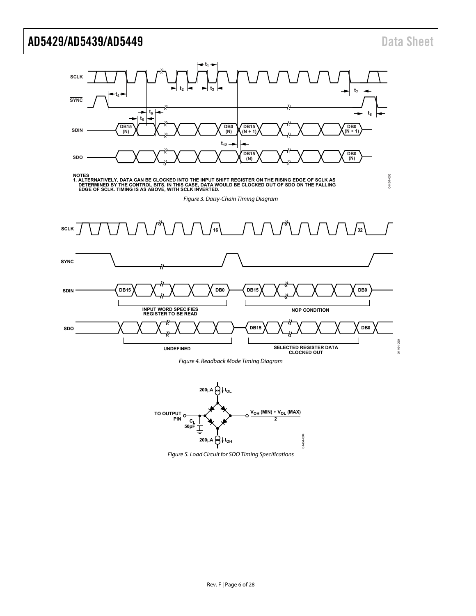

Figure 4. Readback Mode Timing Diagram

<span id="page-5-2"></span><span id="page-5-1"></span>

<span id="page-5-0"></span>Figure 5. Load Circuit for SDO Timing Specifications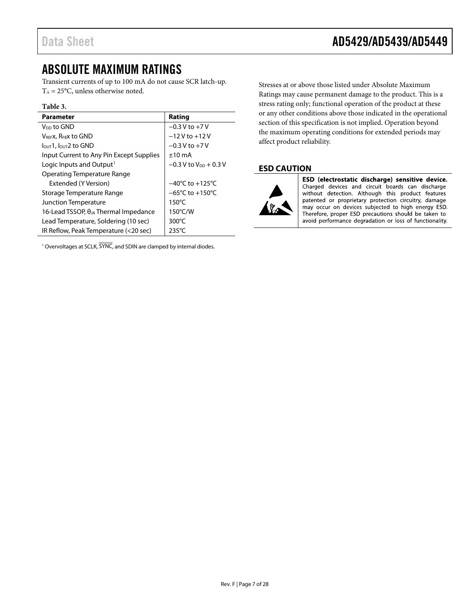### <span id="page-6-0"></span>ABSOLUTE MAXIMUM RATINGS

Transient currents of up to 100 mA do not cause SCR latch-up.  $T_A = 25$ °C, unless otherwise noted.

#### **Table 3.**

| <b>Parameter</b>                               | Rating                              |
|------------------------------------------------|-------------------------------------|
| V <sub>DD</sub> to GND                         | $-0.3 V to +7 V$                    |
| <b>VREEX, REBX to GND</b>                      | $-12V$ to $+12V$                    |
| $I_{\text{OUT}}$ 1, $I_{\text{OUT}}$ 2 to GND  | $-0.3$ V to $+7$ V                  |
| Input Current to Any Pin Except Supplies       | $±10$ mA                            |
| Logic Inputs and Output <sup>1</sup>           | $-0.3$ V to $V_{DD}$ + 0.3 V        |
| <b>Operating Temperature Range</b>             |                                     |
| Extended (Y Version)                           | $-40^{\circ}$ C to $+125^{\circ}$ C |
| Storage Temperature Range                      | $-65^{\circ}$ C to $+150^{\circ}$ C |
| <b>Junction Temperature</b>                    | $150^{\circ}$ C                     |
| 16-Lead TSSOP, $\theta_{JA}$ Thermal Impedance | $150^{\circ}$ C/W                   |
| Lead Temperature, Soldering (10 sec)           | $300^{\circ}$ C                     |
| IR Reflow, Peak Temperature (<20 sec)          | $235^{\circ}$ C                     |

<sup>1</sup> Overvoltages at SCLK, SYNC, and SDIN are clamped by internal diodes.

Stresses at or above those listed under Absolute Maximum Ratings may cause permanent damage to the product. This is a stress rating only; functional operation of the product at these or any other conditions above those indicated in the operational section of this specification is not implied. Operation beyond the maximum operating conditions for extended periods may affect product reliability.

### <span id="page-6-1"></span>**ESD CAUTION**



ESD (electrostatic discharge) sensitive device. Charged devices and circuit boards can discharge without detection. Although this product features patented or proprietary protection circuitry, damage may occur on devices subjected to high energy ESD. Therefore, proper ESD precautions should be taken to avoid performance degradation or loss of functionality.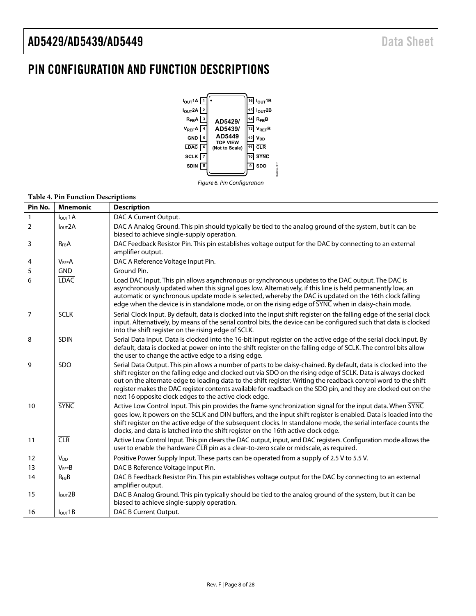### <span id="page-7-0"></span>PIN CONFIGURATION AND FUNCTION DESCRIPTIONS



Figure 6. Pin Configuration

#### **Table 4. Pin Function Descriptions**

| Pin No.        | <b>Mnemonic</b>         | <b>Description</b>                                                                                                                                                                                                                                                                                                                                                                                                                                                                                                               |
|----------------|-------------------------|----------------------------------------------------------------------------------------------------------------------------------------------------------------------------------------------------------------------------------------------------------------------------------------------------------------------------------------------------------------------------------------------------------------------------------------------------------------------------------------------------------------------------------|
| $\mathbf{1}$   | $I$ <sub>OUT</sub> $1A$ | DAC A Current Output.                                                                                                                                                                                                                                                                                                                                                                                                                                                                                                            |
| $\overline{2}$ | I <sub>OUT</sub> 2A     | DAC A Analog Ground. This pin should typically be tied to the analog ground of the system, but it can be<br>biased to achieve single-supply operation.                                                                                                                                                                                                                                                                                                                                                                           |
| 3              | $R_{FB}A$               | DAC Feedback Resistor Pin. This pin establishes voltage output for the DAC by connecting to an external<br>amplifier output.                                                                                                                                                                                                                                                                                                                                                                                                     |
| 4              | <b>V<sub>REF</sub>A</b> | DAC A Reference Voltage Input Pin.                                                                                                                                                                                                                                                                                                                                                                                                                                                                                               |
| 5              | <b>GND</b>              | Ground Pin.                                                                                                                                                                                                                                                                                                                                                                                                                                                                                                                      |
| 6              | <b>LDAC</b>             | Load DAC Input. This pin allows asynchronous or synchronous updates to the DAC output. The DAC is<br>asynchronously updated when this signal goes low. Alternatively, if this line is held permanently low, an<br>automatic or synchronous update mode is selected, whereby the DAC is updated on the 16th clock falling<br>edge when the device is in standalone mode, or on the rising edge of SYNC when in daisy-chain mode.                                                                                                  |
| $\overline{7}$ | <b>SCLK</b>             | Serial Clock Input. By default, data is clocked into the input shift register on the falling edge of the serial clock<br>input. Alternatively, by means of the serial control bits, the device can be configured such that data is clocked<br>into the shift register on the rising edge of SCLK.                                                                                                                                                                                                                                |
| 8              | <b>SDIN</b>             | Serial Data Input. Data is clocked into the 16-bit input register on the active edge of the serial clock input. By<br>default, data is clocked at power-on into the shift register on the falling edge of SCLK. The control bits allow<br>the user to change the active edge to a rising edge.                                                                                                                                                                                                                                   |
| 9              | SDO                     | Serial Data Output. This pin allows a number of parts to be daisy-chained. By default, data is clocked into the<br>shift register on the falling edge and clocked out via SDO on the rising edge of SCLK. Data is always clocked<br>out on the alternate edge to loading data to the shift register. Writing the readback control word to the shift<br>register makes the DAC register contents available for readback on the SDO pin, and they are clocked out on the<br>next 16 opposite clock edges to the active clock edge. |
| 10             | <b>SYNC</b>             | Active Low Control Input. This pin provides the frame synchronization signal for the input data. When SYNC<br>goes low, it powers on the SCLK and DIN buffers, and the input shift register is enabled. Data is loaded into the<br>shift register on the active edge of the subsequent clocks. In standalone mode, the serial interface counts the<br>clocks, and data is latched into the shift register on the 16th active clock edge.                                                                                         |
| 11             | CLR                     | Active Low Control Input. This pin clears the DAC output, input, and DAC registers. Configuration mode allows the<br>user to enable the hardware CLR pin as a clear-to-zero scale or midscale, as required.                                                                                                                                                                                                                                                                                                                      |
| 12             | <b>V<sub>DD</sub></b>   | Positive Power Supply Input. These parts can be operated from a supply of 2.5 V to 5.5 V.                                                                                                                                                                                                                                                                                                                                                                                                                                        |
| 13             | <b>VREFB</b>            | DAC B Reference Voltage Input Pin.                                                                                                                                                                                                                                                                                                                                                                                                                                                                                               |
| 14             | $R_{FB}B$               | DAC B Feedback Resistor Pin. This pin establishes voltage output for the DAC by connecting to an external<br>amplifier output.                                                                                                                                                                                                                                                                                                                                                                                                   |
| 15             | I <sub>OUT</sub> 2B     | DAC B Analog Ground. This pin typically should be tied to the analog ground of the system, but it can be<br>biased to achieve single-supply operation.                                                                                                                                                                                                                                                                                                                                                                           |
| 16             | $I_{OUT}1B$             | DAC B Current Output.                                                                                                                                                                                                                                                                                                                                                                                                                                                                                                            |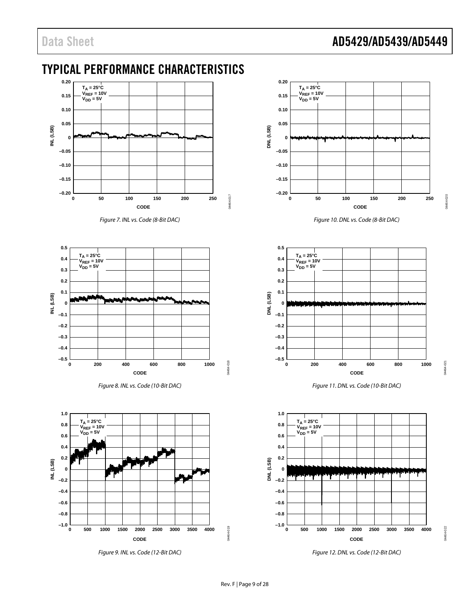### Data Sheet **AD5429/AD5439/AD5449**

### <span id="page-8-0"></span>TYPICAL PERFORMANCE CHARACTERISTICS



*Figure 7. INL vs. Code (8-Bit DAC)*







*Figure 9. INL vs. Code (12-Bit DAC)*



*Figure 10. DNL vs. Code (8-Bit DAC)*



*Figure 11. DNL vs. Code (10-Bit DAC)*



*Figure 12. DNL vs. Code (12-Bit DAC)*

04464-022

04464-

 $022$ 

04464-019

04464-

 $-019$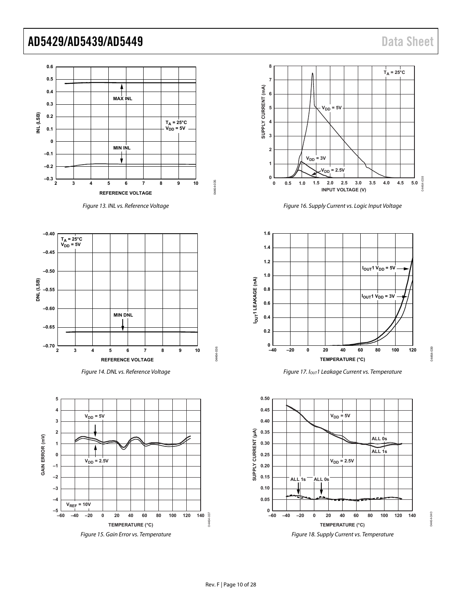04464-039

04464-

 $039$ 

04464-040

14464-040



Figure 13. INL vs. Reference Voltage









Figure 16. Supply Current vs. Logic Input Voltage



Figure 17. I<sub>OUT</sub>1 Leakage Current vs. Temperature

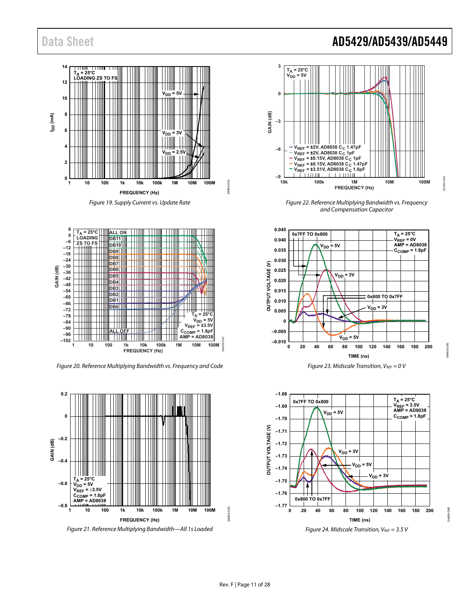



Figure 20. Reference Multiplying Bandwidth vs. Frequency and Code



Figure 21. Reference Multiplying Bandwidth—All 1s Loaded

### Data Sheet **AD5429/AD5439/AD5449**



Figure 22. Reference Multiplying Bandwidth vs. Frequency and Compensation Capacitor





Figure 24. Midscale Transition,  $V_{REF} = 3.5 V$ 

**PRO** 

04464-046

14464-046

04464-044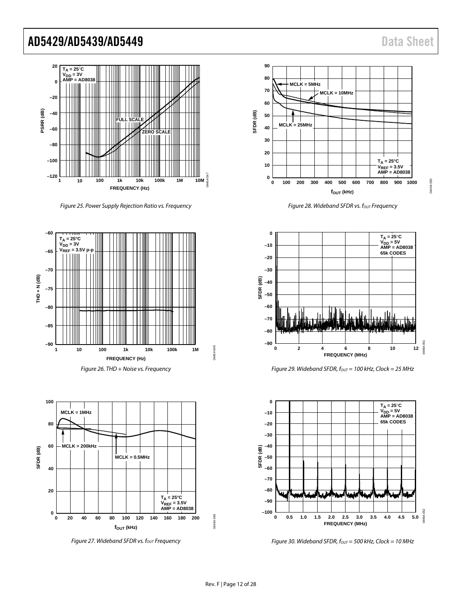04464-050

14464-050



*Figure 25. Power Supply Rejection Ratio vs. Frequency*





 $F$ *igure 27. Wideband SFDR vs. f<sub>out</sub> Frequency* 



**Figure 28. Wideband SFDR vs. fout Frequency** 



*Figure 29. Wideband SFDR, fout* = 100 kHz, Clock = 25 MHz



*Figure 30. Wideband SFDR, fout* = 500 kHz, Clock = 10 MHz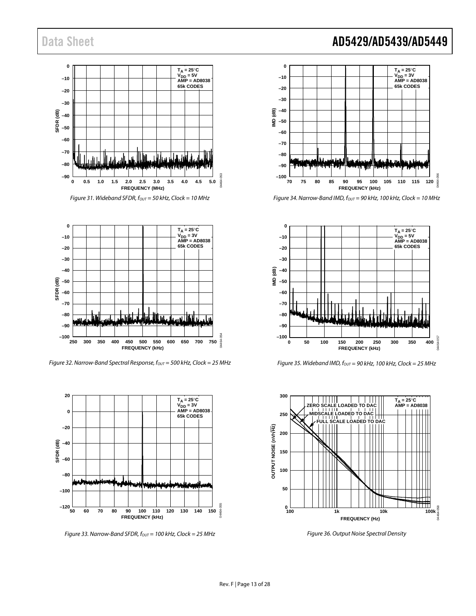

*Figure 31. Wideband SFDR, fout* = 50 kHz, Clock = 10 MHz



*Figure 32. Narrow-Band Spectral Response, fout* = 500 kHz, Clock = 25 MHz



*Figure 33. Narrow-Band SFDR, fout* = 100 kHz, Clock = 25 MHz

### Data Sheet **AD5429/AD5439/AD5449**



*Figure 34. Narrow-Band IMD, fout* = 90 kHz, 100 kHz, Clock = 10 MHz



*Figure 35. Wideband IMD, fOUT = 90 kHz, 100 kHz, Clock = 25 MHz*



*Figure 36. Output Noise Spectral Density*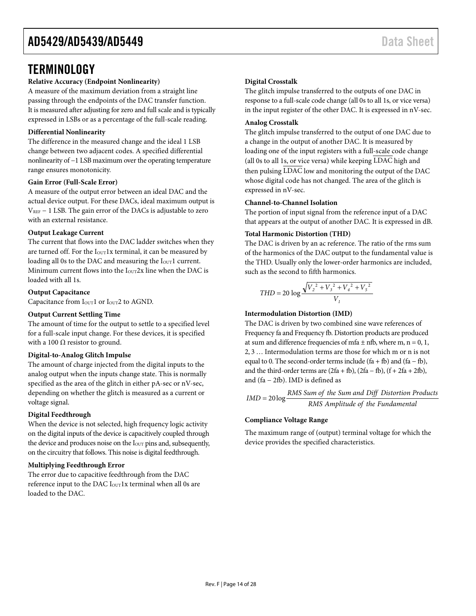### <span id="page-13-0"></span>**TERMINOLOGY**

### **Relative Accuracy (Endpoint Nonlinearity)**

A measure of the maximum deviation from a straight line passing through the endpoints of the DAC transfer function. It is measured after adjusting for zero and full scale and is typically expressed in LSBs or as a percentage of the full-scale reading.

### **Differential Nonlinearity**

The difference in the measured change and the ideal 1 LSB change between two adjacent codes. A specified differential nonlinearity of −1 LSB maximum over the operating temperature range ensures monotonicity.

### **Gain Error (Full-Scale Error)**

A measure of the output error between an ideal DAC and the actual device output. For these DACs, ideal maximum output is  $V_{REF}$  – 1 LSB. The gain error of the DACs is adjustable to zero with an external resistance.

#### **Output Leakage Current**

The current that flows into the DAC ladder switches when they are turned off. For the  $I<sub>OUT</sub>1x$  terminal, it can be measured by loading all 0s to the DAC and measuring the I<sub>OUT</sub>1 current. Minimum current flows into the  $I_{\text{OUT}}2x$  line when the DAC is loaded with all 1s.

#### **Output Capacitance**

Capacitance from I<sub>OUT</sub>1 or I<sub>OUT</sub>2 to AGND.

### **Output Current Settling Time**

The amount of time for the output to settle to a specified level for a full-scale input change. For these devices, it is specified with a 100  $\Omega$  resistor to ground.

### **Digital-to-Analog Glitch Impulse**

The amount of charge injected from the digital inputs to the analog output when the inputs change state. This is normally specified as the area of the glitch in either pA-sec or nV-sec, depending on whether the glitch is measured as a current or voltage signal.

### **Digital Feedthrough**

When the device is not selected, high frequency logic activity on the digital inputs of the device is capacitively coupled through the device and produces noise on the I<sub>OUT</sub> pins and, subsequently, on the circuitry that follows. This noise is digital feedthrough.

### **Multiplying Feedthrough Error**

The error due to capacitive feedthrough from the DAC reference input to the DAC I<sub>OUT</sub>1x terminal when all 0s are loaded to the DAC.

#### **Digital Crosstalk**

The glitch impulse transferred to the outputs of one DAC in response to a full-scale code change (all 0s to all 1s, or vice versa) in the input register of the other DAC. It is expressed in nV-sec.

#### **Analog Crosstalk**

The glitch impulse transferred to the output of one DAC due to a change in the output of another DAC. It is measured by loading one of the input registers with a full-scale code change (all 0s to all 1s, or vice versa) while keeping LDAC high and then pulsing LDAC low and monitoring the output of the DAC whose digital code has not changed. The area of the glitch is expressed in nV-sec.

#### **Channel-to-Channel Isolation**

The portion of input signal from the reference input of a DAC that appears at the output of another DAC. It is expressed in dB.

#### **Total Harmonic Distortion (THD)**

The DAC is driven by an ac reference. The ratio of the rms sum of the harmonics of the DAC output to the fundamental value is the THD. Usually only the lower-order harmonics are included, such as the second to fifth harmonics.

$$
THD = 20 \log \frac{\sqrt{V_2^2 + V_3^2 + V_4^2 + V_5^2}}{V_1}
$$

### **Intermodulation Distortion (IMD)**

The DAC is driven by two combined sine wave references of Frequency fa and Frequency fb. Distortion products are produced at sum and difference frequencies of mfa  $\pm$  nfb, where m, n = 0, 1, 2, 3 … Intermodulation terms are those for which m or n is not equal to 0. The second-order terms include  $(fa + fb)$  and  $(fa - fb)$ , and the third-order terms are  $(2fa + fb)$ ,  $(2fa - fb)$ ,  $(f + 2fa + 2fb)$ , and (fa − 2fb). IMD is defined as

$$
IMD = 20 log \frac{RMS \, Sum \, of \, the \, Sum \, and \, Diff \, Distribution \, Products}{RMS \, Amplitude \, of \, the \, Fundamental}
$$

### **Compliance Voltage Range**

The maximum range of (output) terminal voltage for which the device provides the specified characteristics.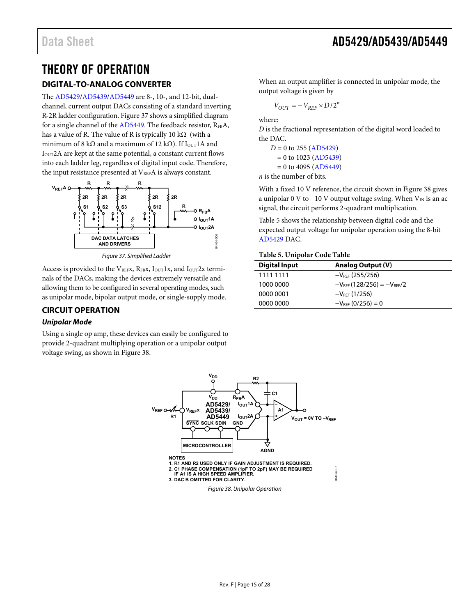# <span id="page-14-0"></span>THEORY OF OPERATION

### <span id="page-14-1"></span>**DIGITAL-TO-ANALOG CONVERTER**

The [AD5429/](http://www.analog.com/AD5429?doc=AD5429_5439_5449.pdf)[AD5439/](http://www.analog.com/AD5439?doc=AD5429_5439_5449.pdf)[AD5449 a](http://www.analog.com/AD5449?doc=AD5429_5439_5449.pdf)re 8-, 10-, and 12-bit, dualchannel, current output DACs consisting of a standard inverting R-2R ladder configuration[. Figure 37 s](#page-14-3)hows a simplified diagram for a single channel of the  $AD5449$ . The feedback resistor,  $R_{FB}A$ , has a value of R. The value of R is typically 10 k $\Omega$  (with a minimum of 8 kΩ and a maximum of 12 kΩ). If  $I_{OUT}$ 1A and IOUT2A are kept at the same potential, a constant current flows into each ladder leg, regardless of digital input code. Therefore, the input resistance presented at  $V_{REF}A$  is always constant.



Figure 37. Simplified Ladder

<span id="page-14-3"></span>Access is provided to the VREFX, RFBX,  $I_{\text{OUT}}1x$ , and  $I_{\text{OUT}}2x$  terminals of the DACs, making the devices extremely versatile and allowing them to be configured in several operating modes, such as unipolar mode, bipolar output mode, or single-supply mode.

### <span id="page-14-2"></span>**CIRCUIT OPERATION**

### **Unipolar Mode**

<span id="page-14-4"></span>Using a single op amp, these devices can easily be configured to provide 2-quadrant multiplying operation or a unipolar output voltage swing, as shown i[n Figure 38.](#page-14-4)

When an output amplifier is connected in unipolar mode, the output voltage is given by

$$
V_{OUT} = -V_{REF} \times D/2^n
$$

where:

*D* is the fractional representation of the digital word loaded to the DAC.

 $D = 0$  to 255 [\(AD5429\)](http://www.analog.com/AD5429?doc=AD5429_5439_5449.pdf)  $= 0$  to 1023 [\(AD5439\)](http://www.analog.com/AD5439?doc=AD5429_5439_5449.pdf)  $= 0$  to 4095 [\(AD5449\)](http://www.analog.com/AD5449?doc=AD5429_5439_5449.pdf)

*n* is the number of bits.

With a fixed 10 V reference, the circuit shown in [Figure 38 g](#page-14-4)ives a unipolar 0 V to −10 V output voltage swing. When  $V_{IN}$  is an ac signal, the circuit performs 2-quadrant multiplication.

[Table 5](#page-14-5) shows the relationship between digital code and the expected output voltage for unipolar operation using the 8-bit [AD5429 D](http://www.analog.com/AD5429?doc=AD5429_5439_5449.pdf)AC.

### <span id="page-14-5"></span>**Table 5. Unipolar Code Table**

| <b>Digital Input</b> | <b>Analog Output (V)</b>            |
|----------------------|-------------------------------------|
| 1111 1111            | $-V_{REF}$ (255/256)                |
| 1000 0000            | $-V_{REF}$ (128/256) = $-V_{REF}/2$ |
| 0000 0001            | $-V_{REF}$ (1/256)                  |
| 0000 0000            | $-V_{RFF}$ (0/256) = 0              |



Figure 38. Unipolar Operation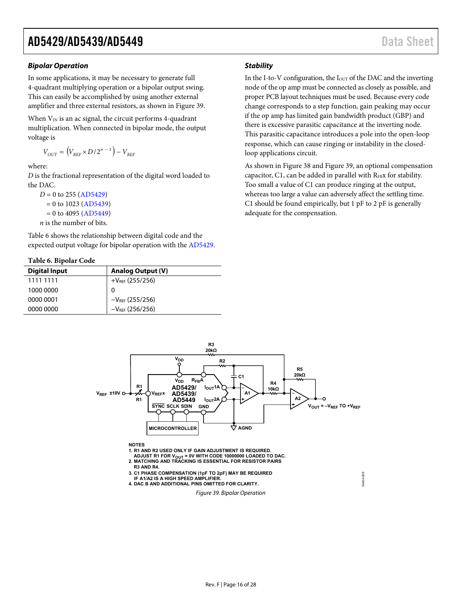#### **Bipolar Operation**

In some applications, it may be necessary to generate full 4-quadrant multiplying operation or a bipolar output swing. This can easily be accomplished by using another external amplifier and three external resistors, as shown i[n Figure 39.](#page-15-0) 

When  $V_{\text{IN}}$  is an ac signal, the circuit performs 4-quadrant multiplication. When connected in bipolar mode, the output voltage is

$$
V_{OUT} = (V_{REF} \times D/2^{n-1}) - V_{REF}
$$

where:

*D* is the fractional representation of the digital word loaded to the DAC.

```
D = 0(AD5429)
= 0(AD5439)
= 0(AD5449)
n is the number of bits.
```
[Table 6](#page-15-1) shows the relationship between digital code and the expected output voltage for bipolar operation with the [AD5429.](http://www.analog.com/AD5429?doc=AD5429_5439_5449.pdf) 

#### <span id="page-15-1"></span>**Table 6. Bipolar Code**

| <b>Digital Input</b> | <b>Analog Output (V)</b> |
|----------------------|--------------------------|
| 1111 1111            | $+V_{REF}$ (255/256)     |
| 1000 0000            | 0                        |
| 0000 0001            | $-V_{REF}$ (255/256)     |
| 0000 0000            | $-V_{REF}$ (256/256)     |

### **Stability**

In the I-to-V configuration, the I<sub>OUT</sub> of the DAC and the inverting node of the op amp must be connected as closely as possible, and proper PCB layout techniques must be used. Because every code change corresponds to a step function, gain peaking may occur if the op amp has limited gain bandwidth product (GBP) and there is excessive parasitic capacitance at the inverting node. This parasitic capacitance introduces a pole into the open-loop response, which can cause ringing or instability in the closedloop applications circuit.

As shown in [Figure 38 a](#page-14-4)n[d Figure 39,](#page-15-0) an optional compensation capacitor, C1, can be added in parallel with RFBX for stability. Too small a value of C1 can produce ringing at the output, whereas too large a value can adversely affect the settling time. C1 should be found empirically, but 1 pF to 2 pF is generally adequate for the compensation.

<span id="page-15-0"></span>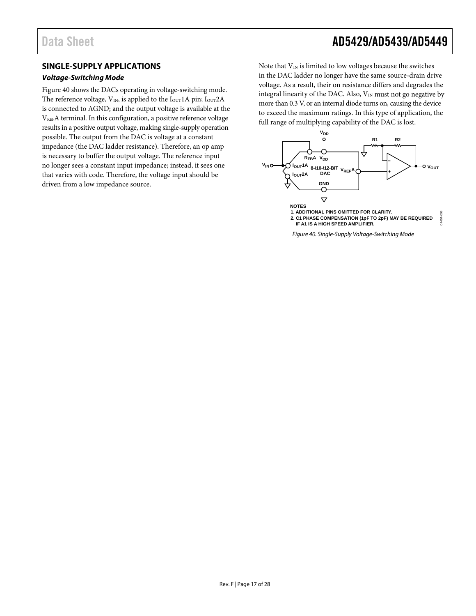### <span id="page-16-0"></span>**SINGLE-SUPPLY APPLICATIONS**

### *Voltage-Switching Mode*

[Figure 40](#page-16-1) shows the DACs operating in voltage-switching mode. The reference voltage,  $V_{IN}$ , is applied to the  $I_{OUT}1A$  pin;  $I_{OUT}2A$ is connected to AGND; and the output voltage is available at the VREFA terminal. In this configuration, a positive reference voltage results in a positive output voltage, making single-supply operation possible. The output from the DAC is voltage at a constant impedance (the DAC ladder resistance). Therefore, an op amp is necessary to buffer the output voltage. The reference input no longer sees a constant input impedance; instead, it sees one that varies with code. Therefore, the voltage input should be driven from a low impedance source.

Note that  $V_{IN}$  is limited to low voltages because the switches in the DAC ladder no longer have the same source-drain drive voltage. As a result, their on resistance differs and degrades the integral linearity of the DAC. Also,  $V_{IN}$  must not go negative by more than 0.3 V, or an internal diode turns on, causing the device to exceed the maximum ratings. In this type of application, the full range of multiplying capability of the DAC is lost.



<span id="page-16-1"></span>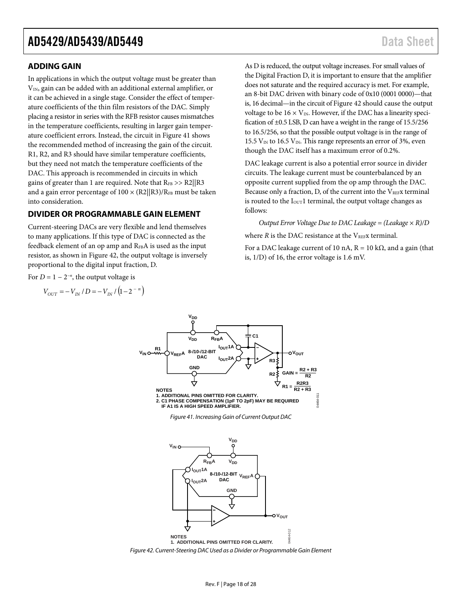### <span id="page-17-0"></span>**ADDING GAIN**

In applications in which the output voltage must be greater than  $V_{IN}$ , gain can be added with an additional external amplifier, or it can be achieved in a single stage. Consider the effect of temperature coefficients of the thin film resistors of the DAC. Simply placing a resistor in series with the RFB resistor causes mismatches in the temperature coefficients, resulting in larger gain temperature coefficient errors. Instead, the circuit in [Figure 41](#page-17-2) shows the recommended method of increasing the gain of the circuit. R1, R2, and R3 should have similar temperature coefficients, but they need not match the temperature coefficients of the DAC. This approach is recommended in circuits in which gains of greater than 1 are required. Note that  $R_{FB} >> R2||R3$ and a gain error percentage of  $100 \times (R2||R3)/R<sub>FB</sub>$  must be taken into consideration.

### <span id="page-17-1"></span>**DIVIDER OR PROGRAMMABLE GAIN ELEMENT**

Current-steering DACs are very flexible and lend themselves to many applications. If this type of DAC is connected as the feedback element of an op amp and RFBA is used as the input resistor, as shown i[n Figure 42,](#page-17-3) the output voltage is inversely proportional to the digital input fraction, D.

For  $D = 1 - 2^{-n}$ , the output voltage is

<span id="page-17-2"></span>
$$
V_{OUT} = -V_{IN} / D = -V_{IN} / (1 - 2^{-n})
$$

As D is reduced, the output voltage increases. For small values of the Digital Fraction D, it is important to ensure that the amplifier does not saturate and the required accuracy is met. For example, an 8-bit DAC driven with binary code of 0x10 (0001 0000)—that is, 16 decimal—in the circuit o[f Figure 42](#page-17-3) should cause the output voltage to be  $16 \times V_{IN}$ . However, if the DAC has a linearity specification of ±0.5 LSB, D can have a weight in the range of 15.5/256 to 16.5/256, so that the possible output voltage is in the range of 15.5  $V_{IN}$  to 16.5  $V_{IN}$ . This range represents an error of 3%, even though the DAC itself has a maximum error of 0.2%.

DAC leakage current is also a potential error source in divider circuits. The leakage current must be counterbalanced by an opposite current supplied from the op amp through the DAC. Because only a fraction, D, of the current into the  $V_{REFX}$  terminal is routed to the I<sub>OUT</sub>1 terminal, the output voltage changes as follows:

*Output Error Voltage Due to DAC Leakage = (Leakage × R)/D* where  $R$  is the DAC resistance at the  $V_{REF}$  terminal. For a DAC leakage current of 10 nA,  $R = 10 k\Omega$ , and a gain (that is, 1/D) of 16, the error voltage is 1.6 mV.



**V<sub>DD</sub>** 

<span id="page-17-3"></span>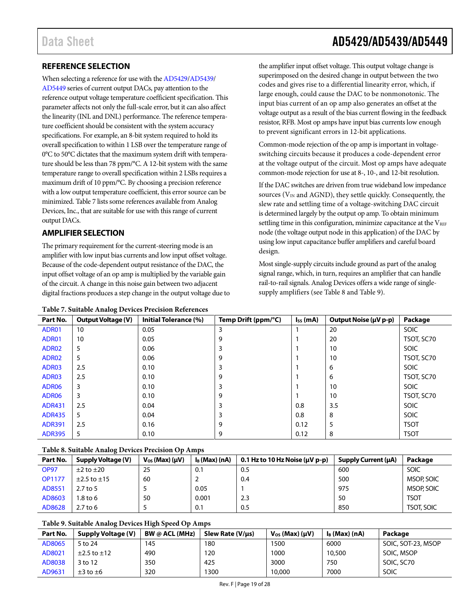### <span id="page-18-0"></span>**REFERENCE SELECTION**

When selecting a reference for use with th[e AD5429](http://www.analog.com/AD5429?doc=AD5429_5439_5449.pdf)[/AD5439/](http://www.analog.com/AD5439?doc=AD5429_5439_5449.pdf) [AD5449](http://www.analog.com/AD5449?doc=AD5429_5439_5449.pdf) series of current output DACs, pay attention to the reference output voltage temperature coefficient specification. This parameter affects not only the full-scale error, but it can also affect the linearity (INL and DNL) performance. The reference temperature coefficient should be consistent with the system accuracy specifications. For example, an 8-bit system required to hold its overall specification to within 1 LSB over the temperature range of 0°C to 50°C dictates that the maximum system drift with temperature should be less than 78 ppm/°C. A 12-bit system with the same temperature range to overall specification within 2 LSBs requires a maximum drift of 10 ppm/°C. By choosing a precision reference with a low output temperature coefficient, this error source can be minimized[. Table](#page-18-2) 7 lists some references available from Analog Devices, Inc., that are suitable for use with this range of current output DACs.

### <span id="page-18-1"></span>**AMPLIFIER SELECTION**

The primary requirement for the current-steering mode is an amplifier with low input bias currents and low input offset voltage. Because of the code-dependent output resistance of the DAC, the input offset voltage of an op amp is multiplied by the variable gain of the circuit. A change in this noise gain between two adjacent digital fractions produces a step change in the output voltage due to

<span id="page-18-2"></span>

### Data Sheet **AD5429/AD5439/AD5449**

the amplifier input offset voltage. This output voltage change is superimposed on the desired change in output between the two codes and gives rise to a differential linearity error, which, if large enough, could cause the DAC to be nonmonotonic. The input bias current of an op amp also generates an offset at the voltage output as a result of the bias current flowing in the feedback resistor, RFB. Most op amps have input bias currents low enough to prevent significant errors in 12-bit applications.

Common-mode rejection of the op amp is important in voltageswitching circuits because it produces a code-dependent error at the voltage output of the circuit. Most op amps have adequate common-mode rejection for use at 8-, 10-, and 12-bit resolution.

If the DAC switches are driven from true wideband low impedance sources ( $V_{IN}$  and AGND), they settle quickly. Consequently, the slew rate and settling time of a voltage-switching DAC circuit is determined largely by the output op amp. To obtain minimum settling time in this configuration, minimize capacitance at the  $V_{REF}$ node (the voltage output node in this application) of the DAC by using low input capacitance buffer amplifiers and careful board design.

Most single-supply circuits include ground as part of the analog signal range, which, in turn, requires an amplifier that can handle rail-to-rail signals. Analog Devices offers a wide range of singlesupply amplifiers (se[e Table 8](#page-18-3) and [Table 9\)](#page-18-4).

| Part No.          | ັ<br><b>Output Voltage (V)</b> | <b>Initial Tolerance (%)</b> | Temp Drift (ppm/°C) | $I_{SS}$ (mA) | Output Noise (µV p-p) | Package     |
|-------------------|--------------------------------|------------------------------|---------------------|---------------|-----------------------|-------------|
| ADR01             | 10                             | 0.05                         | 3                   |               | 20                    | <b>SOIC</b> |
| ADR01             | 10                             | 0.05                         | 9                   |               | 20                    | TSOT, SC70  |
| ADR02             | 5                              | 0.06                         | 3                   |               | 10                    | <b>SOIC</b> |
| ADR02             | 5                              | 0.06                         | 9                   |               | 10                    | TSOT, SC70  |
| ADR03             | 2.5                            | 0.10                         | 3                   |               | 6                     | <b>SOIC</b> |
| ADR03             | 2.5                            | 0.10                         | 9                   |               | 6                     | TSOT, SC70  |
| ADR06             | 3                              | 0.10                         | 3                   |               | 10                    | <b>SOIC</b> |
| ADR <sub>06</sub> | 3                              | 0.10                         | 9                   |               | 10                    | TSOT, SC70  |
| <b>ADR431</b>     | 2.5                            | 0.04                         | 3                   | 0.8           | 3.5                   | <b>SOIC</b> |
| <b>ADR435</b>     | 5                              | 0.04                         | 3                   | 0.8           | 8                     | SOIC        |
| <b>ADR391</b>     | 2.5                            | 0.16                         | 9                   | 0.12          | 5                     | <b>TSOT</b> |
| <b>ADR395</b>     | 5                              | 0.10                         | 9                   | 0.12          | 8                     | <b>TSOT</b> |

#### <span id="page-18-3"></span>**Table 8. Suitable Analog Devices Precision Op Amps**

| Part No.      | Supply Voltage (V)    | $V_{OS}$ (Max) ( $\mu$ V) | lв (Max) (nA) | 0.1 Hz to 10 Hz Noise ( $\mu$ V p-p) | <b>Supply Current (µA)</b> | Package           |
|---------------|-----------------------|---------------------------|---------------|--------------------------------------|----------------------------|-------------------|
| <b>OP97</b>   | $\pm 2$ to $\pm 20$   | 25                        | 0.1           | 0.5                                  | 600                        | SOIC              |
| <b>OP1177</b> | $\pm 2.5$ to $\pm 15$ | 60                        |               | 0.4                                  | 500                        | MSOP, SOIC        |
| AD8551        | $2.7$ to 5            |                           | 0.05          |                                      | 975                        | MSOP, SOIC        |
| AD8603        | $1.8$ to 6            | 50                        | 0.001         | 2.3                                  | 50                         | <b>TSOT</b>       |
| AD8628        | $2.7$ to 6            |                           | 0.1           | 0.5                                  | 850                        | <b>TSOT, SOIC</b> |

### <span id="page-18-4"></span>**Table 9. Suitable Analog Devices High Speed Op Amps**

| Part No. | Supply Voltage (V)    | <b>BW @ ACL (MHz)</b> | Slew Rate (V/µs) | $V_{OS}$ (Max) ( $\mu$ V) | lв (Max) (nA) | Package            |
|----------|-----------------------|-----------------------|------------------|---------------------------|---------------|--------------------|
| AD8065   | 5 to 24               | 145                   | 180              | 1500                      | 6000          | SOIC, SOT-23, MSOP |
| AD8021   | $\pm$ 2.5 to $\pm$ 12 | 490                   | 120              | 000                       | 10,500        | SOIC, MSOP         |
| AD8038   | 3 to 12               | 350                   | 425              | 3000                      | 750           | SOIC, SC70         |
| AD9631   | $\pm 3$ to $\pm 6$    | 320                   | 300              | 10,000                    | 7000          | SOIC               |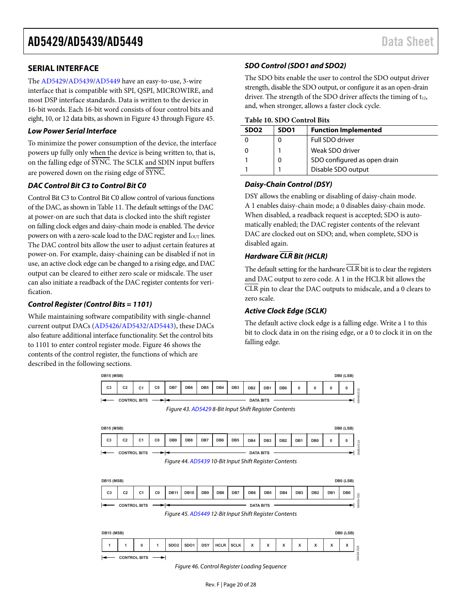### <span id="page-19-0"></span>**SERIAL INTERFACE**

The [AD5429/](http://www.analog.com/AD5429?doc=AD5429_5439_5449.pdf)[AD5439/](http://www.analog.com/AD5439?doc=AD5429_5439_5449.pdf)[AD5449 h](http://www.analog.com/AD5449?doc=AD5429_5439_5449.pdf)ave an easy-to-use, 3-wire interface that is compatible with SPI, QSPI, MICROWIRE, and most DSP interface standards. Data is written to the device in 16-bit words. Each 16-bit word consists of four control bits and eight, 10, or 12 data bits, as shown i[n Figure 43 t](#page-19-1)hroug[h Figure 45.](#page-19-2) 

### **Low Power Serial Interface**

To minimize the power consumption of the device, the interface powers up fully only when the device is being written to, that is, on the falling edge of SYNC. The SCLK and SDIN input buffers are powered down on the rising edge of SYNC.

### **DAC Control Bit C3 to Control Bit C0**

Control Bit C3 to Control Bit C0 allow control of various functions of the DAC, as shown i[n Table 11.](#page-20-0) The default settings of the DAC at power-on are such that data is clocked into the shift register on falling clock edges and daisy-chain mode is enabled. The device powers on with a zero-scale load to the DAC register and I<sub>OUT</sub> lines. The DAC control bits allow the user to adjust certain features at power-on. For example, daisy-chaining can be disabled if not in use, an active clock edge can be changed to a rising edge, and DAC output can be cleared to either zero scale or midscale. The user can also initiate a readback of the DAC register contents for verification.

### **Control Register (Control Bits = 1101)**

While maintaining software compatibility with single-channel current output DACs [\(AD5426](http://www.analog.com/AD5426?doc=AD5429_5439_5449.pdf)[/AD5432/](http://www.analog.com/AD5432?doc=AD5429_5439_5449.pdf)[AD5443\)](http://www.analog.com/AD5443?doc=AD5429_5439_5449.pdf), these DACs also feature additional interface functionality. Set the control bits to 1101 to enter control register mode[. Figure 46](#page-19-3) shows the contents of the control register, the functions of which are described in the following sections.

### **SDO Control (SDO1 and SDO2)**

The SDO bits enable the user to control the SDO output driver strength, disable the SDO output, or configure it as an open-drain driver. The strength of the SDO driver affects the timing of t12, and, when stronger, allows a faster clock cycle.

#### **Table 10. SDO Control Bits**

| SD <sub>O2</sub> | SDO <sub>1</sub> | <b>Function Implemented</b>  |
|------------------|------------------|------------------------------|
|                  | O                | Full SDO driver              |
|                  |                  | Weak SDO driver              |
|                  | 0                | SDO configured as open drain |
|                  |                  | Disable SDO output           |

### **Daisy-Chain Control (DSY)**

DSY allows the enabling or disabling of daisy-chain mode. A 1 enables daisy-chain mode; a 0 disables daisy-chain mode. When disabled, a readback request is accepted; SDO is automatically enabled; the DAC register contents of the relevant DAC are clocked out on SDO; and, when complete, SDO is disabled again.

### **Hardware CLR Bit (HCLR)**

The default setting for the hardware  $\overline{\text{CLR}}$  bit is to clear the registers and DAC output to zero code. A 1 in the HCLR bit allows the CLR pin to clear the DAC outputs to midscale, and a 0 clears to zero scale.

### **Active Clock Edge (SCLK)**

The default active clock edge is a falling edge. Write a 1 to this bit to clock data in on the rising edge, or a 0 to clock it in on the falling edge.

<span id="page-19-2"></span><span id="page-19-1"></span>

<span id="page-19-3"></span>Figure 46. Control Register Loading Sequence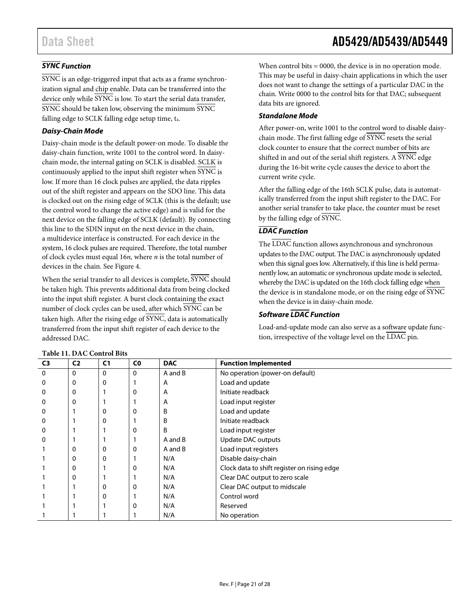### *SYNC Function*

SYNC is an edge-triggered input that acts as a frame synchronization signal and chip enable. Data can be transferred into the device only while  $\overline{\text{SYNC}}$  is low. To start the serial data transfer, SYNC should be taken low, observing the minimum SYNC falling edge to SCLK falling edge setup time, t<sub>4</sub>.

### *Daisy-Chain Mode*

Daisy-chain mode is the default power-on mode. To disable the daisy-chain function, write 1001 to the control word. In daisychain mode, the internal gating on SCLK is disabled. SCLK is continuously applied to the input shift register when SYNC is low. If more than 16 clock pulses are applied, the data ripples out of the shift register and appears on the SDO line. This data is clocked out on the rising edge of SCLK (this is the default; use the control word to change the active edge) and is valid for the next device on the falling edge of SCLK (default). By connecting this line to the SDIN input on the next device in the chain, a multidevice interface is constructed. For each device in the system, 16 clock pulses are required. Therefore, the total number of clock cycles must equal 16*n,* where *n* is the total number of devices in the chain. See [Figure 4.](#page-5-2)

When the serial transfer to all devices is complete, SYNC should be taken high. This prevents additional data from being clocked into the input shift register. A burst clock containing the exact number of clock cycles can be used, after which SYNC can be taken high. After the rising edge of SYNC, data is automatically transferred from the input shift register of each device to the addressed DAC.

When control bits = 0000, the device is in no operation mode. This may be useful in daisy-chain applications in which the user does not want to change the settings of a particular DAC in the chain. Write 0000 to the control bits for that DAC; subsequent data bits are ignored.

### *Standalone Mode*

After power-on, write 1001 to the control word to disable daisychain mode. The first falling edge of SYNC resets the serial clock counter to ensure that the correct number of bits are shifted in and out of the serial shift registers. A SYNC edge during the 16-bit write cycle causes the device to abort the current write cycle.

After the falling edge of the 16th SCLK pulse, data is automatically transferred from the input shift register to the DAC. For another serial transfer to take place, the counter must be reset by the falling edge of SYNC.

### *LDAC Function*

The  $\overline{\text{LDAC}}$  function allows asynchronous and synchronous updates to the DAC output. The DAC is asynchronously updated when this signal goes low. Alternatively, if this line is held permanently low, an automatic or synchronous update mode is selected, whereby the DAC is updated on the 16th clock falling edge when the device is in standalone mode, or on the rising edge of SYNC when the device is in daisy-chain mode.

### *Software LDAC Function*

Load-and-update mode can also serve as a software update function, irrespective of the voltage level on the LDAC pin.

| C <sub>3</sub> | C <sub>2</sub> | C <sub>1</sub> | C <sub>0</sub> | <b>DAC</b>   | <b>Function Implemented</b>                 |  |  |  |
|----------------|----------------|----------------|----------------|--------------|---------------------------------------------|--|--|--|
| 0              | $\Omega$       | 0              | $\Omega$       | A and B      | No operation (power-on default)             |  |  |  |
| 0              | 0              | 0              |                | A            | Load and update                             |  |  |  |
| 0              | 0              |                | 0              | A            | Initiate readback                           |  |  |  |
| $\mathbf 0$    | 0              |                |                | A            | Load input register                         |  |  |  |
| 0              |                |                | 0              | B            | Load and update                             |  |  |  |
| 0              |                |                |                | B            | Initiate readback                           |  |  |  |
| 0              |                |                | 0              | <sub>B</sub> | Load input register                         |  |  |  |
| 0              |                |                |                | A and B      | Update DAC outputs                          |  |  |  |
|                | 0              |                | $\mathbf 0$    | A and B      | Load input registers                        |  |  |  |
|                | 0              | 0              |                | N/A          | Disable daisy-chain                         |  |  |  |
|                | 0              |                | $\mathbf 0$    | N/A          | Clock data to shift register on rising edge |  |  |  |
|                | 0              |                |                | N/A          | Clear DAC output to zero scale              |  |  |  |
|                |                |                | 0              | N/A          | Clear DAC output to midscale                |  |  |  |
|                |                |                |                | N/A          | Control word                                |  |  |  |
|                |                |                | 0              | N/A          | Reserved                                    |  |  |  |
|                |                |                |                | N/A          | No operation                                |  |  |  |

### <span id="page-20-0"></span>**Table 11. DAC Control Bits**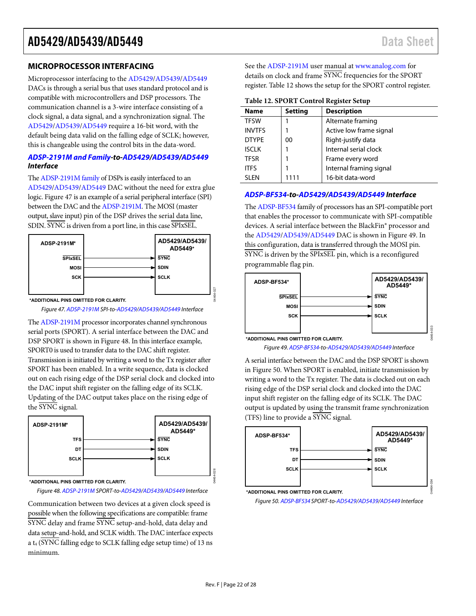### <span id="page-21-0"></span>**MICROPROCESSOR INTERFACING**

Microprocessor interfacing to the [AD5429/](http://www.analog.com/AD5429?doc=AD5429_5439_5449.pdf)[AD5439/](http://www.analog.com/AD5439?doc=AD5429_5439_5449.pdf)[AD5449](http://www.analog.com/AD5449?doc=AD5429_5439_5449.pdf) DACs is through a serial bus that uses standard protocol and is compatible with microcontrollers and DSP processors. The communication channel is a 3-wire interface consisting of a clock signal, a data signal, and a synchronization signal. The [AD5429/](http://www.analog.com/AD5429?doc=AD5429_5439_5449.pdf)[AD5439/](http://www.analog.com/AD5439?doc=AD5429_5439_5449.pdf)[AD5449 r](http://www.analog.com/AD5449?doc=AD5429_5439_5449.pdf)equire a 16-bit word, with the default being data valid on the falling edge of SCLK; however, this is changeable using the control bits in the data-word.

#### **[ADSP-2191M and Family-](http://www.analog.com/adsp-21xx-processors?doc=AD5429_5439_5449.pdf)to[-AD5429/](http://www.analog.com/AD5429?doc=AD5429_5439_5449.pdf)[AD5439](http://www.analog.com/AD5439?doc=AD5429_5439_5449.pdf)[/AD5449](http://www.analog.com/AD5449?doc=AD5429_5439_5449.pdf) Interface**

Th[e ADSP-2191M family o](http://www.analog.com/adsp-21xx-processors?doc=AD5429_5439_5449.pdf)f DSPs is easily interfaced to an [AD5429](http://www.analog.com/AD5429?doc=AD5429_5439_5449.pdf)[/AD5439/](http://www.analog.com/AD5439?doc=AD5429_5439_5449.pdf)[AD5449](http://www.analog.com/AD5449?doc=AD5429_5439_5449.pdf) DAC without the need for extra glue logic[. Figure 47 i](#page-21-1)s an example of a serial peripheral interface (SPI) between the DAC and th[e ADSP-2191M](http://www.analog.com/ADSP-2191M?doc=AD5429_5439_5449.pdf). The MOSI (master output, slave input) pin of the DSP drives the serial data line, SDIN. SYNC is driven from a port line, in this case SPIxSEL.



<span id="page-21-1"></span>Figure 47[. ADSP-2191M S](http://www.analog.com/ADSP-2191M?doc=AD5429_5439_5449.pdf)PI-to[-AD5429](http://www.analog.com/AD5429?doc=AD5429_5439_5449.pdf)[/AD5439](http://www.analog.com/AD5439?doc=AD5429_5439_5449.pdf)[/AD5449 I](http://www.analog.com/AD5449?doc=AD5429_5439_5449.pdf)nterface

Th[e ADSP-2191M](http://www.analog.com/ADSP-2191M?doc=AD5429_5439_5449.pdf) processor incorporates channel synchronous serial ports (SPORT). A serial interface between the DAC and DSP SPORT is shown in [Figure 48.](#page-21-2) In this interface example, SPORT0 is used to transfer data to the DAC shift register. Transmission is initiated by writing a word to the Tx register after SPORT has been enabled. In a write sequence, data is clocked out on each rising edge of the DSP serial clock and clocked into the DAC input shift register on the falling edge of its SCLK. Updating of the DAC output takes place on the rising edge of the SYNC signal.



<span id="page-21-2"></span>**<sup>\*</sup>ADDITIONAL PINS OMITTED FOR CLARITY.**

Figure 48[. ADSP-2191M S](http://www.analog.com/ADSP-2191M?doc=AD5429_5439_5449.pdf)PORT-to[-AD5429/](http://www.analog.com/AD5429?doc=AD5429_5439_5449.pdf)[AD5439](http://www.analog.com/AD5439?doc=AD5429_5439_5449.pdf)[/AD5449 I](http://www.analog.com/AD5449?doc=AD5429_5439_5449.pdf)nterface

Communication between two devices at a given clock speed is possible when the following specifications are compatible: frame SYNC delay and frame SYNC setup-and-hold, data delay and data setup-and-hold, and SCLK width. The DAC interface expects a  $t_4$  ( $\overline{\text{SYNC}}$  falling edge to SCLK falling edge setup time) of 13 ns minimum.

See the [ADSP-2191M](http://www.analog.com/ADSP-2191M?doc=AD5429_5439_5449.pdf) user manual a[t www.analog.com f](http://www.analog.com/)or details on clock and frame SYNC frequencies for the SPORT register[. Table 12 s](#page-21-3)hows the setup for the SPORT control register.

#### <span id="page-21-3"></span>**Table 12. SPORT Control Register Setup**

| <b>Name</b>   | <b>Setting</b> | <b>Description</b>      |
|---------------|----------------|-------------------------|
| <b>TFSW</b>   |                | Alternate framing       |
| <b>INVTFS</b> |                | Active low frame signal |
| <b>DTYPE</b>  | 00             | Right-justify data      |
| <b>ISCLK</b>  |                | Internal serial clock   |
| <b>TFSR</b>   |                | Frame every word        |
| <b>ITES</b>   |                | Internal framing signal |
| <b>SI FN</b>  | 1111           | 16-bit data-word        |

### **[ADSP-BF534-](http://www.analog.com/ADSP-BF534?doc=AD5429_5439_5449.pdf)to[-AD5429](http://www.analog.com/AD5429?doc=AD5429_5439_5449.pdf)[/AD5439](http://www.analog.com/AD5439?doc=AD5429_5439_5449.pdf)[/AD5449 I](http://www.analog.com/AD5449?doc=AD5429_5439_5449.pdf)nterface**

Th[e ADSP-BF534 f](http://www.analog.com/ADSP-BF534?doc=AD5429_5439_5449.pdf)amily of processors has an SPI-compatible port that enables the processor to communicate with SPI-compatible devices. A serial interface between the BlackFin**®** processor and the [AD5429](http://www.analog.com/AD5429?doc=AD5429_5439_5449.pdf)[/AD5439/](http://www.analog.com/AD5439?doc=AD5429_5439_5449.pdf)[AD5449 D](http://www.analog.com/AD5449?doc=AD5429_5439_5449.pdf)AC is shown i[n Figure 49.](#page-21-4) In this configuration, data is transferred through the MOSI pin. SYNC is driven by the SPIxSEL pin, which is a reconfigured programmable flag pin.



Figure 49[. ADSP-BF534-t](http://www.analog.com/ADSP-BF534?doc=AD5429_5439_5449.pdf)o[-AD5429/](http://www.analog.com/AD5429?doc=AD5429_5439_5449.pdf)[AD5439/](http://www.analog.com/AD5439?doc=AD5429_5439_5449.pdf)[AD5449 I](http://www.analog.com/AD5449?doc=AD5429_5439_5449.pdf)nterface

<span id="page-21-4"></span>A serial interface between the DAC and the DSP SPORT is shown in [Figure 50.](#page-21-5) When SPORT is enabled, initiate transmission by writing a word to the Tx register. The data is clocked out on each rising edge of the DSP serial clock and clocked into the DAC input shift register on the falling edge of its SCLK. The DAC output is updated by using the transmit frame synchronization (TFS) line to provide a SYNC signal.



<span id="page-21-5"></span>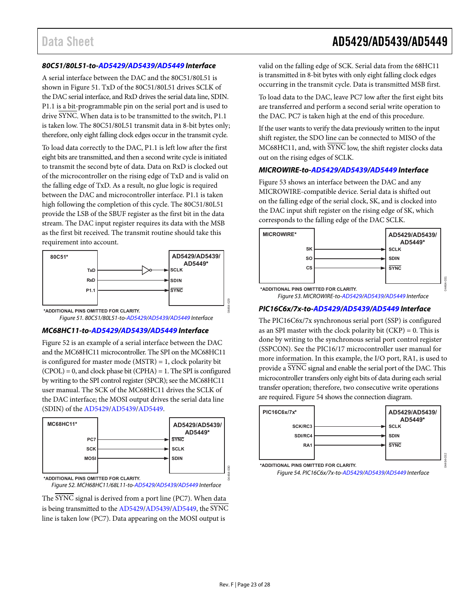### Data Sheet **AD5429/AD5439/AD5449**

#### **80C51/80L51-to[-AD5429](http://www.analog.com/AD5429?doc=AD5429_5439_5449.pdf)[/AD5439/](http://www.analog.com/AD5439?doc=AD5429_5439_5449.pdf)[AD5449 I](http://www.analog.com/AD5449?doc=AD5429_5439_5449.pdf)nterface**

A serial interface between the DAC and the 80C51/80L51 is shown in [Figure 51.](#page-22-0) TxD of the 80C51/80L51 drives SCLK of the DAC serial interface, and RxD drives the serial data line, SDIN. P1.1 is a bit-programmable pin on the serial port and is used to drive SYNC. When data is to be transmitted to the switch, P1.1 is taken low. The 80C51/80L51 transmit data in 8-bit bytes only; therefore, only eight falling clock edges occur in the transmit cycle.

To load data correctly to the DAC, P1.1 is left low after the first eight bits are transmitted, and then a second write cycle is initiated to transmit the second byte of data. Data on RxD is clocked out of the microcontroller on the rising edge of TxD and is valid on the falling edge of TxD. As a result, no glue logic is required between the DAC and microcontroller interface. P1.1 is taken high following the completion of this cycle. The 80C51/80L51 provide the LSB of the SBUF register as the first bit in the data stream. The DAC input register requires its data with the MSB as the first bit received. The transmit routine should take this requirement into account.



<span id="page-22-0"></span>Figure 51. 80C51/80L51-to[-AD5429/](http://www.analog.com/AD5429?doc=AD5429_5439_5449.pdf)[AD5439/](http://www.analog.com/AD5439?doc=AD5429_5439_5449.pdf)[AD5449 I](http://www.analog.com/AD5449?doc=AD5429_5439_5449.pdf)nterface

### **MC68HC11-to[-AD5429/](http://www.analog.com/AD5429?doc=AD5429_5439_5449.pdf)[AD5439](http://www.analog.com/AD5439?doc=AD5429_5439_5449.pdf)[/AD5449 I](http://www.analog.com/AD5449?doc=AD5429_5439_5449.pdf)nterface**

[Figure 52 i](#page-22-1)s an example of a serial interface between the DAC and the MC68HC11 microcontroller. The SPI on the MC68HC11 is configured for master mode (MSTR) = 1, clock polarity bit  $(CPOL) = 0$ , and clock phase bit  $(CPHA) = 1$ . The SPI is configured by writing to the SPI control register (SPCR); see the MC68HC11 user manual. The SCK of the MC68HC11 drives the SCLK of the DAC interface; the MOSI output drives the serial data line (SDIN) of the [AD5429](http://www.analog.com/AD5429?doc=AD5429_5439_5449.pdf)[/AD5439/](http://www.analog.com/AD5439?doc=AD5429_5439_5449.pdf)[AD5449.](http://www.analog.com/AD5449?doc=AD5429_5439_5449.pdf) 



<span id="page-22-1"></span>Figure 52. MCH68HC11/68L11-to[-AD5429](http://www.analog.com/AD5429?doc=AD5429_5439_5449.pdf)[/AD5439](http://www.analog.com/AD5439?doc=AD5429_5439_5449.pdf)[/AD5449 I](http://www.analog.com/AD5449?doc=AD5429_5439_5449.pdf)nterface

The SYNC signal is derived from a port line (PC7). When data is being transmitted to th[e AD5429](http://www.analog.com/AD5429?doc=AD5429_5439_5449.pdf)[/AD5439/](http://www.analog.com/AD5439?doc=AD5429_5439_5449.pdf)[AD5449,](http://www.analog.com/AD5449?doc=AD5429_5439_5449.pdf) the SYNC line is taken low (PC7). Data appearing on the MOSI output is

valid on the falling edge of SCK. Serial data from the 68HC11 is transmitted in 8-bit bytes with only eight falling clock edges occurring in the transmit cycle. Data is transmitted MSB first.

To load data to the DAC, leave PC7 low after the first eight bits are transferred and perform a second serial write operation to the DAC. PC7 is taken high at the end of this procedure.

If the user wants to verify the data previously written to the input shift register, the SDO line can be connected to MISO of the MC68HC11, and, with SYNC low, the shift register clocks data out on the rising edges of SCLK.

#### **MICROWIRE-to[-AD5429](http://www.analog.com/AD5429?doc=AD5429_5439_5449.pdf)[/AD5439](http://www.analog.com/AD5439?doc=AD5429_5439_5449.pdf)[/AD5449 I](http://www.analog.com/AD5449?doc=AD5429_5439_5449.pdf)nterface**

[Figure 53 s](#page-22-2)hows an interface between the DAC and any MICROWIRE-compatible device. Serial data is shifted out on the falling edge of the serial clock, SK, and is clocked into the DAC input shift register on the rising edge of SK, which corresponds to the falling edge of the DAC SCLK.



04464-031

04464-032

#### **PIC16C6x/7x-to[-AD5429](http://www.analog.com/AD5429?doc=AD5429_5439_5449.pdf)[/AD5439](http://www.analog.com/AD5439?doc=AD5429_5439_5449.pdf)[/AD5449 I](http://www.analog.com/AD5449?doc=AD5429_5439_5449.pdf)nterface**

The PIC16C6x/7x synchronous serial port (SSP) is configured as an SPI master with the clock polarity bit  $(CKP) = 0$ . This is done by writing to the synchronous serial port control register (SSPCON). See the PIC16/17 microcontroller user manual for more information. In this example, the I/O port, RA1, is used to provide a SYNC signal and enable the serial port of the DAC. This microcontroller transfers only eight bits of data during each serial transfer operation; therefore, two consecutive write operations are required[. Figure 54](#page-22-3) shows the connection diagram.



<span id="page-22-3"></span>Figure 54. PIC16C6x/7x-to[-AD5429/](http://www.analog.com/AD5429?doc=AD5429_5439_5449.pdf)[AD5439/](http://www.analog.com/AD5439?doc=AD5429_5439_5449.pdf)[AD5449 I](http://www.analog.com/AD5449?doc=AD5429_5439_5449.pdf)nterface

04464-030

<span id="page-22-2"></span>Figure 53. MICROWIRE-to[-AD5429/](http://www.analog.com/AD5429?doc=AD5429_5439_5449.pdf)[AD5439/](http://www.analog.com/AD5439?doc=AD5429_5439_5449.pdf)[AD5449 I](http://www.analog.com/AD5449?doc=AD5429_5439_5449.pdf)nterface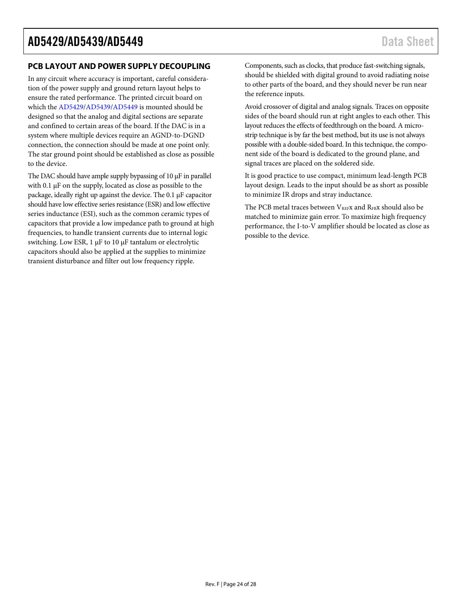### <span id="page-23-0"></span>**PCB LAYOUT AND POWER SUPPLY DECOUPLING**

In any circuit where accuracy is important, careful consideration of the power supply and ground return layout helps to ensure the rated performance. The printed circuit board on which th[e AD5429/](http://www.analog.com/AD5429?doc=AD5429_5439_5449.pdf)[AD5439/](http://www.analog.com/AD5439?doc=AD5429_5439_5449.pdf)[AD5449](http://www.analog.com/AD5449?doc=AD5429_5439_5449.pdf) is mounted should be designed so that the analog and digital sections are separate and confined to certain areas of the board. If the DAC is in a system where multiple devices require an AGND-to-DGND connection, the connection should be made at one point only. The star ground point should be established as close as possible to the device.

<span id="page-23-1"></span>The DAC should have ample supply bypassing of 10  $\mu$ F in parallel with 0.1 µF on the supply, located as close as possible to the package, ideally right up against the device. The 0.1 µF capacitor should have low effective series resistance (ESR) and low effective series inductance (ESI), such as the common ceramic types of capacitors that provide a low impedance path to ground at high frequencies, to handle transient currents due to internal logic switching. Low ESR,  $1 \mu$ F to  $10 \mu$ F tantalum or electrolytic capacitors should also be applied at the supplies to minimize transient disturbance and filter out low frequency ripple.

Components, such as clocks, that produce fast-switching signals, should be shielded with digital ground to avoid radiating noise to other parts of the board, and they should never be run near the reference inputs.

Avoid crossover of digital and analog signals. Traces on opposite sides of the board should run at right angles to each other. This layout reduces the effects of feedthrough on the board. A microstrip technique is by far the best method, but its use is not always possible with a double-sided board. In this technique, the component side of the board is dedicated to the ground plane, and signal traces are placed on the soldered side.

It is good practice to use compact, minimum lead-length PCB layout design. Leads to the input should be as short as possible to minimize IR drops and stray inductance.

The PCB metal traces between V<sub>REFX</sub> and R<sub>FBX</sub> should also be matched to minimize gain error. To maximize high frequency performance, the I-to-V amplifier should be located as close as possible to the device.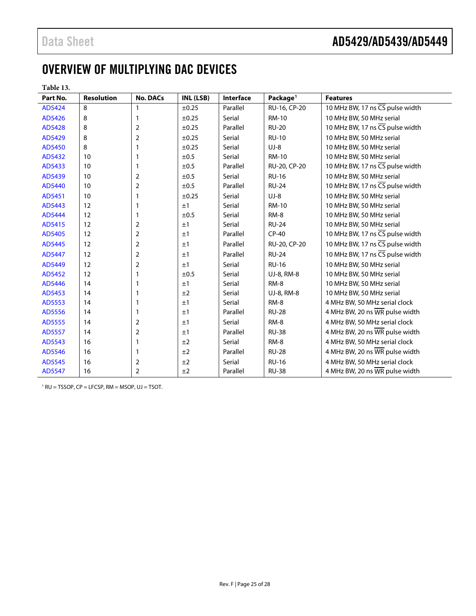## OVERVIEW OF MULTIPLYING DAC DEVICES

| anıe |  |
|------|--|
|------|--|

| Part No. | <b>Resolution</b> | <b>No. DACs</b> | INL (LSB)  | <b>Interface</b> | Package <sup>1</sup> | <b>Features</b>                              |
|----------|-------------------|-----------------|------------|------------------|----------------------|----------------------------------------------|
| AD5424   | 8                 | 1               | ±0.25      | Parallel         | RU-16, CP-20         | 10 MHz BW, 17 ns CS pulse width              |
| AD5426   | 8                 | 1               | $\pm 0.25$ | Serial           | <b>RM-10</b>         | 10 MHz BW, 50 MHz serial                     |
| AD5428   | 8                 | 2               | ±0.25      | Parallel         | <b>RU-20</b>         | 10 MHz BW, 17 ns $\overline{CS}$ pulse width |
| AD5429   | 8                 | $\mathbf 2$     | $\pm 0.25$ | Serial           | <b>RU-10</b>         | 10 MHz BW, 50 MHz serial                     |
| AD5450   | 8                 | 1               | $\pm 0.25$ | Serial           | $UJ-8$               | 10 MHz BW, 50 MHz serial                     |
| AD5432   | 10                | 1               | ±0.5       | Serial           | <b>RM-10</b>         | 10 MHz BW, 50 MHz serial                     |
| AD5433   | 10                | 1               | ±0.5       | Parallel         | RU-20, CP-20         | 10 MHz BW, 17 ns CS pulse width              |
| AD5439   | 10                | 2               | ±0.5       | Serial           | <b>RU-16</b>         | 10 MHz BW, 50 MHz serial                     |
| AD5440   | 10                | $\overline{2}$  | ±0.5       | Parallel         | <b>RU-24</b>         | 10 MHz BW, 17 ns CS pulse width              |
| AD5451   | 10                | 1               | $\pm 0.25$ | Serial           | $UJ-8$               | 10 MHz BW, 50 MHz serial                     |
| AD5443   | 12                | 1               | ±1         | Serial           | <b>RM-10</b>         | 10 MHz BW, 50 MHz serial                     |
| AD5444   | 12                | 1               | ±0.5       | Serial           | RM-8                 | 10 MHz BW, 50 MHz serial                     |
| AD5415   | 12                | 2               | ±1         | Serial           | <b>RU-24</b>         | 10 MHz BW, 50 MHz serial                     |
| AD5405   | 12                | $\overline{2}$  | ±1         | Parallel         | $CP-40$              | 10 MHz BW, 17 ns CS pulse width              |
| AD5445   | 12                | 2               | ±1         | Parallel         | RU-20, CP-20         | 10 MHz BW, 17 ns CS pulse width              |
| AD5447   | 12                | $\overline{2}$  | ±1         | Parallel         | <b>RU-24</b>         | 10 MHz BW, 17 ns CS pulse width              |
| AD5449   | 12                | 2               | ±1         | Serial           | <b>RU-16</b>         | 10 MHz BW, 50 MHz serial                     |
| AD5452   | 12                | 1               | ±0.5       | Serial           | UJ-8, RM-8           | 10 MHz BW, 50 MHz serial                     |
| AD5446   | 14                |                 | ±1         | Serial           | RM-8                 | 10 MHz BW, 50 MHz serial                     |
| AD5453   | 14                | 1               | ±2         | Serial           | UJ-8, RM-8           | 10 MHz BW, 50 MHz serial                     |
| AD5553   | 14                |                 | ±1         | Serial           | RM-8                 | 4 MHz BW, 50 MHz serial clock                |
| AD5556   | 14                | 1               | ±1         | Parallel         | <b>RU-28</b>         | 4 MHz BW, 20 ns WR pulse width               |
| AD5555   | 14                | 2               | ±1         | Serial           | RM-8                 | 4 MHz BW, 50 MHz serial clock                |
| AD5557   | 14                | 2               | ±1         | Parallel         | <b>RU-38</b>         | 4 MHz BW, 20 ns WR pulse width               |
| AD5543   | 16                | 1               | ±2         | Serial           | RM-8                 | 4 MHz BW, 50 MHz serial clock                |
| AD5546   | 16                | 1               | ±2         | Parallel         | <b>RU-28</b>         | 4 MHz BW, 20 ns WR pulse width               |
| AD5545   | 16                | 2               | ±2         | Serial           | <b>RU-16</b>         | 4 MHz BW, 50 MHz serial clock                |
| AD5547   | 16                | 2               | ±2         | Parallel         | <b>RU-38</b>         | 4 MHz BW, 20 ns WR pulse width               |

 $1 RU = TSSOP$ ,  $CP = LFCSP$ ,  $RM = MSOP$ ,  $UJ = TSOT$ .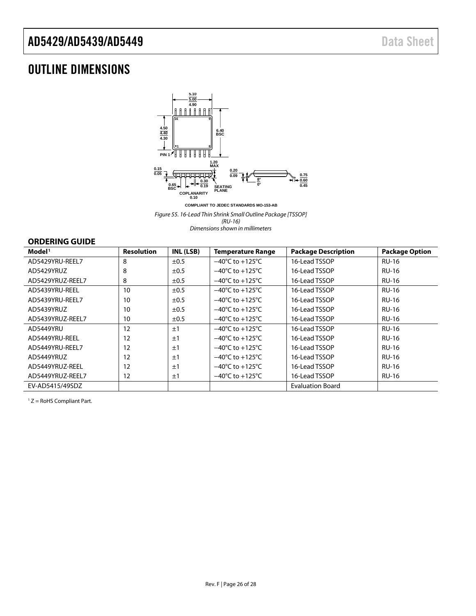## <span id="page-25-0"></span>OUTLINE DIMENSIONS



*Figure 55. 16-Lead Thin Shrink Small Outline Package [TSSOP] (RU-16) Dimensions shown in millimeters*

### <span id="page-25-1"></span>**ORDERING GUIDE**

| Model <sup>1</sup> | <b>Resolution</b> | INL (LSB) | <b>Temperature Range</b>            | <b>Package Description</b> | <b>Package Option</b> |
|--------------------|-------------------|-----------|-------------------------------------|----------------------------|-----------------------|
| AD5429YRU-REEL7    | 8                 | $\pm 0.5$ | $-40^{\circ}$ C to $+125^{\circ}$ C | 16-Lead TSSOP              | <b>RU-16</b>          |
| AD5429YRUZ         | 8                 | $\pm 0.5$ | $-40^{\circ}$ C to $+125^{\circ}$ C | 16-Lead TSSOP              | <b>RU-16</b>          |
| AD5429YRUZ-REEL7   | 8                 | ±0.5      | $-40^{\circ}$ C to $+125^{\circ}$ C | 16-Lead TSSOP              | <b>RU-16</b>          |
| AD5439YRU-REEL     | 10                | $\pm 0.5$ | $-40^{\circ}$ C to $+125^{\circ}$ C | 16-Lead TSSOP              | <b>RU-16</b>          |
| AD5439YRU-REEL7    | 10                | $\pm 0.5$ | $-40^{\circ}$ C to $+125^{\circ}$ C | 16-Lead TSSOP              | <b>RU-16</b>          |
| AD5439YRUZ         | 10                | $\pm 0.5$ | $-40^{\circ}$ C to $+125^{\circ}$ C | 16-Lead TSSOP              | <b>RU-16</b>          |
| AD5439YRUZ-REEL7   | 10                | $\pm 0.5$ | $-40^{\circ}$ C to $+125^{\circ}$ C | 16-Lead TSSOP              | <b>RU-16</b>          |
| AD5449YRU          | 12                | ±1        | $-40^{\circ}$ C to $+125^{\circ}$ C | 16-Lead TSSOP              | <b>RU-16</b>          |
| AD5449YRU-REEL     | 12                | ±1        | $-40^{\circ}$ C to $+125^{\circ}$ C | 16-Lead TSSOP              | <b>RU-16</b>          |
| AD5449YRU-REEL7    | 12                | ±1        | $-40^{\circ}$ C to $+125^{\circ}$ C | 16-Lead TSSOP              | <b>RU-16</b>          |
| AD5449YRUZ         | 12                | ±1        | $-40^{\circ}$ C to $+125^{\circ}$ C | 16-Lead TSSOP              | <b>RU-16</b>          |
| AD5449YRUZ-REEL    | 12                | ±1        | $-40^{\circ}$ C to $+125^{\circ}$ C | 16-Lead TSSOP              | <b>RU-16</b>          |
| AD5449YRUZ-REEL7   | 12                | ±1        | $-40^{\circ}$ C to $+125^{\circ}$ C | 16-Lead TSSOP              | <b>RU-16</b>          |
| EV-AD5415/49SDZ    |                   |           |                                     | <b>Evaluation Board</b>    |                       |

<sup>1</sup> Z = RoHS Compliant Part.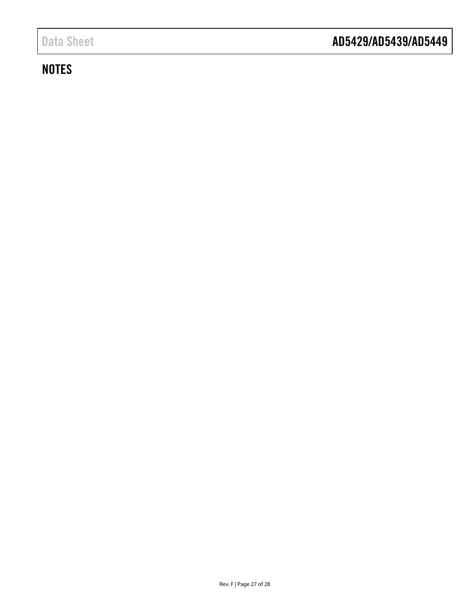### <span id="page-26-0"></span>**NOTES**